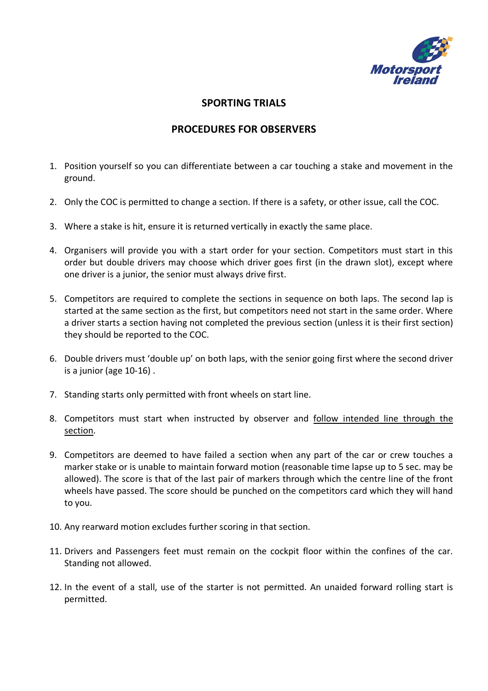

## **SPORTING TRIALS**

## **PROCEDURES FOR OBSERVERS**

- 1. Position yourself so you can differentiate between a car touching a stake and movement in the ground.
- 2. Only the COC is permitted to change a section. If there is a safety, or other issue, call the COC.
- 3. Where a stake is hit, ensure it is returned vertically in exactly the same place.
- 4. Organisers will provide you with a start order for your section. Competitors must start in this order but double drivers may choose which driver goes first (in the drawn slot), except where one driver is a junior, the senior must always drive first.
- 5. Competitors are required to complete the sections in sequence on both laps. The second lap is started at the same section as the first, but competitors need not start in the same order. Where a driver starts a section having not completed the previous section (unless it is their first section) they should be reported to the COC.
- 6. Double drivers must 'double up' on both laps, with the senior going first where the second driver is a junior (age 10-16) .
- 7. Standing starts only permitted with front wheels on start line.
- 8. Competitors must start when instructed by observer and follow intended line through the section.
- 9. Competitors are deemed to have failed a section when any part of the car or crew touches a marker stake or is unable to maintain forward motion (reasonable time lapse up to 5 sec. may be allowed). The score is that of the last pair of markers through which the centre line of the front wheels have passed. The score should be punched on the competitors card which they will hand to you.
- 10. Any rearward motion excludes further scoring in that section.
- 11. Drivers and Passengers feet must remain on the cockpit floor within the confines of the car. Standing not allowed.
- 12. In the event of a stall, use of the starter is not permitted. An unaided forward rolling start is permitted.